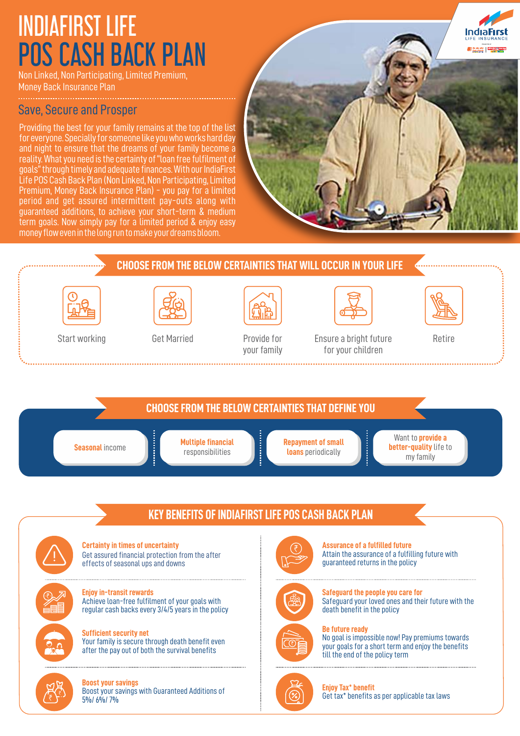# INDIAFIRST LIFE POS CASH BACK PLAN

Non Linked, Non Participating, Limited Premium, Money Back Insurance Plan

### Save, Secure and Prosper

Providing the best for your family remains at the top of the list for everyone. Specially for someone like you who works hard day and night to ensure that the dreams of your family become a reality. What you need is the certainty of "loan free fulfilment of goals" through timely and adequate finances. With our IndiaFirst Life POS Cash Back Plan (Non Linked, Non Participating,Limited Premium, Money Back Insurance Plan) - you pay for a limited period and get assured intermittent pay-outs along with guaranteed additions, to achieve your short-term & medium term goals. Now simply pay for a limited period & enjoy easy money flow even in the long run to make your dreams bloom.



# **CHOOSE FROM THE BELOW CERTAINTIES THAT WILL OCCUR IN YOUR LIFE** Start working Get Married Provide for Ensure a bright future Retire for your children your family **CHOOSE FROM THE BELOW CERTAINTIES THAT DEFINE YOU** Want to **provide a Seasonal income <b>Multiple financial Repayment of small better-quality** life to responsibilities **loans** periodically my family

## **KEY BENEFITS OF INDIAFIRST LIFE POS CASH BACK PLAN**

**Certainty in times of uncertainty**  Get assured financial protection from the after effects of seasonal ups and downs

**Enjoy in-transit rewards**  Achieve loan-free fulfilment of your goals with regular cash backs every 3/4/5 years in the policy

**Sufficient security net**  Your family is secure through death benefit even after the pay out of both the survival benefits



#### **Boost your savings** Boost your savings with Guaranteed Additions of 5%/ 6%/ 7%



**Assurance of a fulfilled future**  Attain the assurance of a fulfilling future with guaranteed returns in the policy





### **Be future ready**

No goal is impossible now! Pay premiums towards your goals for a short term and enjoy the benefits till the end of the policy term



**Enjoy Tax\* benefit** Get tax\* benefits as per applicable tax laws